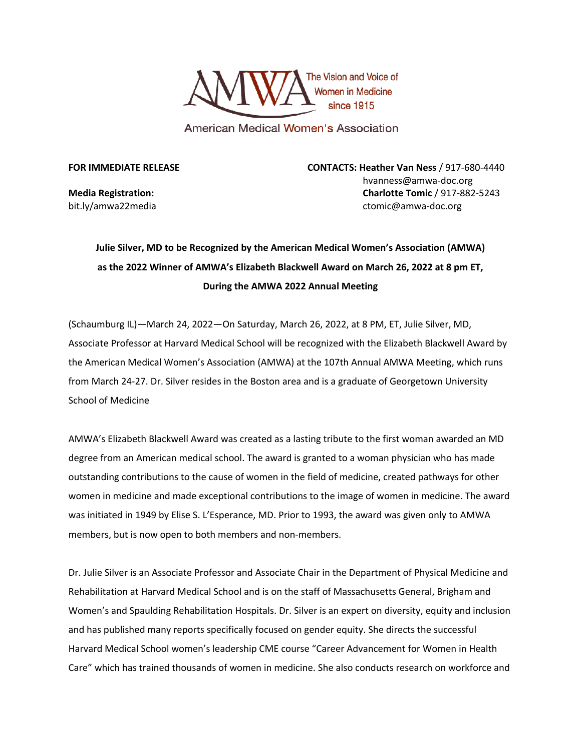

American Medical Women's Association

**FOR IMMEDIATE RELEASE CONTACTS: Heather Van Ness** / 917-680-4440 hvanness@amwa-doc.org **Media Registration: Charlotte Tomic** / 917-882-5243 bit.ly/amwa22media ctomic@amwa-doc.org

## **Julie Silver, MD to be Recognized by the American Medical Women's Association (AMWA) as the 2022 Winner of AMWA's Elizabeth Blackwell Award on March 26, 2022 at 8 pm ET, During the AMWA 2022 Annual Meeting**

(Schaumburg IL)—March 24, 2022—On Saturday, March 26, 2022, at 8 PM, ET, Julie Silver, MD, Associate Professor at Harvard Medical School will be recognized with the Elizabeth Blackwell Award by the American Medical Women's Association (AMWA) at the 107th Annual AMWA Meeting, which runs from March 24-27. Dr. Silver resides in the Boston area and is a graduate of Georgetown University School of Medicine

AMWA's Elizabeth Blackwell Award was created as a lasting tribute to the first woman awarded an MD degree from an American medical school. The award is granted to a woman physician who has made outstanding contributions to the cause of women in the field of medicine, created pathways for other women in medicine and made exceptional contributions to the image of women in medicine. The award was initiated in 1949 by Elise S. L'Esperance, MD. Prior to 1993, the award was given only to AMWA members, but is now open to both members and non-members.

Dr. Julie Silver is an Associate Professor and Associate Chair in the Department of Physical Medicine and Rehabilitation at Harvard Medical School and is on the staff of Massachusetts General, Brigham and Women's and Spaulding Rehabilitation Hospitals. Dr. Silver is an expert on diversity, equity and inclusion and has published many reports specifically focused on gender equity. She directs the successful Harvard Medical School women's leadership CME course "Career Advancement for Women in Health Care" which has trained thousands of women in medicine. She also conducts research on workforce and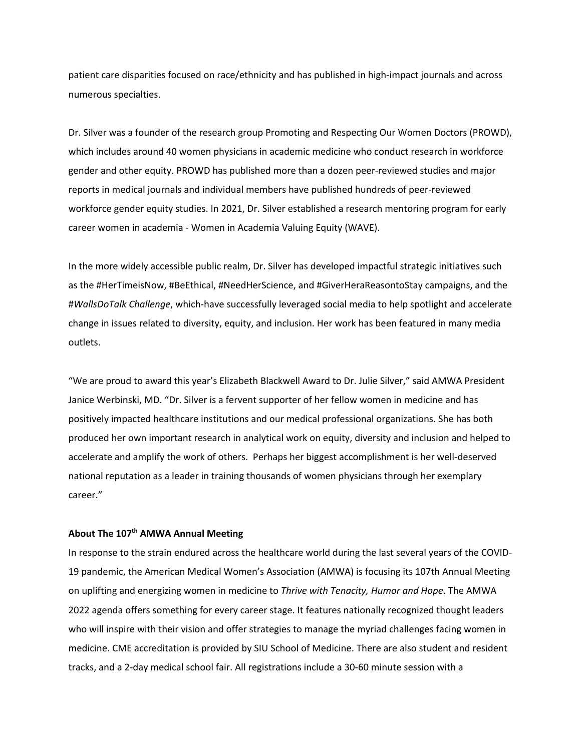patient care disparities focused on race/ethnicity and has published in high-impact journals and across numerous specialties.

Dr. Silver was a founder of the research group Promoting and Respecting Our Women Doctors (PROWD), which includes around 40 women physicians in academic medicine who conduct research in workforce gender and other equity. PROWD has published more than a dozen peer-reviewed studies and major reports in medical journals and individual members have published hundreds of peer-reviewed workforce gender equity studies. In 2021, Dr. Silver established a research mentoring program for early career women in academia - Women in Academia Valuing Equity (WAVE).

In the more widely accessible public realm, Dr. Silver has developed impactful strategic initiatives such as the #HerTimeisNow, #BeEthical, #NeedHerScience, and #GiverHeraReasontoStay campaigns, and the #*WallsDoTalk Challenge*, which-have successfully leveraged social media to help spotlight and accelerate change in issues related to diversity, equity, and inclusion. Her work has been featured in many media outlets.

"We are proud to award this year's Elizabeth Blackwell Award to Dr. Julie Silver," said AMWA President Janice Werbinski, MD. "Dr. Silver is a fervent supporter of her fellow women in medicine and has positively impacted healthcare institutions and our medical professional organizations. She has both produced her own important research in analytical work on equity, diversity and inclusion and helped to accelerate and amplify the work of others. Perhaps her biggest accomplishment is her well-deserved national reputation as a leader in training thousands of women physicians through her exemplary career."

## **About The 107th AMWA Annual Meeting**

In response to the strain endured across the healthcare world during the last several years of the COVID-19 pandemic, the American Medical Women's Association (AMWA) is focusing its 107th Annual Meeting on uplifting and energizing women in medicine to *Thrive with Tenacity, Humor and Hope*. The AMWA 2022 agenda offers something for every career stage. It features nationally recognized thought leaders who will inspire with their vision and offer strategies to manage the myriad challenges facing women in medicine. CME accreditation is provided by SIU School of Medicine. There are also student and resident tracks, and a 2-day medical school fair. All registrations include a 30-60 minute session with a